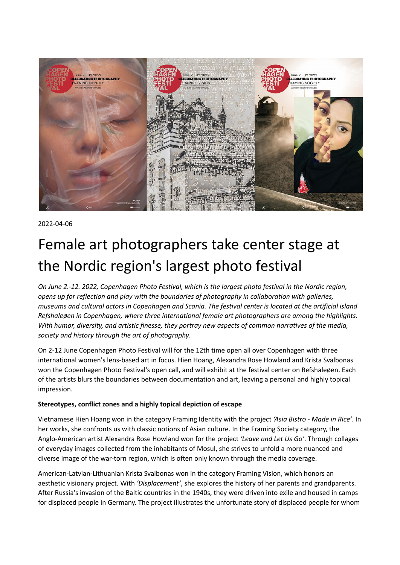

2022-04-06

# Female art photographers take center stage at the Nordic region's largest photo festival

*On June 2.-12. 2022, Copenhagen Photo Festival, which is the largest photo festival in the Nordic region, opens up for reflection and play with the boundaries of photography in collaboration with galleries,* museums and cultural actors in Copenhagen and Scania. The festival center is located at the artificial island *Refshaleøen in Copenhagen, where three international female art photographers are among the highlights. With humor, diversity, and artistic finesse, they portray new aspects of common narratives of the media, society and history through the art of photography.*

On 2-12 June Copenhagen Photo Festival will for the 12th time open all over Copenhagen with three international women's lens-based art in focus. Hien Hoang, Alexandra Rose Howland and Krista Svalbonas won the Copenhagen Photo Festival's open call, and will exhibit at the festival center on Refshaleøen. Each of the artists blurs the boundaries between documentation and art, leaving a personal and highly topical impression.

# **Stereotypes, conflict zones and a highly topical depiction of escape**

Vietnamese Hien Hoang won in the category Framing Identity with the project *'Asia Bistro - Made in Rice'*. In her works, she confronts us with classic notions of Asian culture. In the Framing Society category, the Anglo-American artist Alexandra Rose Howland won for the project *'Leave and Let Us Go'*. Through collages of everyday images collected from the inhabitants of Mosul, she strives to unfold a more nuanced and diverse image of the war-torn region, which is often only known through the media coverage.

American-Latvian-Lithuanian Krista Svalbonas won in the category Framing Vision, which honors an aesthetic visionary project. With *'Displacement'*, she explores the history of her parents and grandparents. After Russia's invasion of the Baltic countries in the 1940s, they were driven into exile and housed in camps for displaced people in Germany. The project illustrates the unfortunate story of displaced people for whom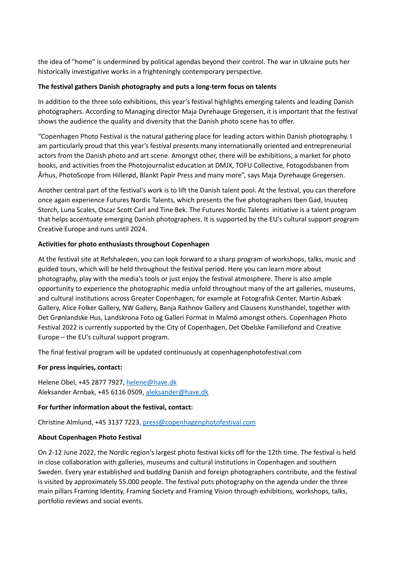the idea of "home" is undermined by political agendas beyond their control. The war in Ukraine puts her historically investigative works in a frighteningly contemporary perspective.

## **The festival gathers Danish photography and puts a long-term focus on talents**

In addition to the three solo exhibitions, this year's festival highlights emerging talents and leading Danish photographers. According to Managing director Maja Dyrehauge Gregersen, it is important that the festival shows the audience the quality and diversity that the Danish photo scene has to offer.

"Copenhagen Photo Festival is the natural gathering place for leading actors within Danish photography. I am particularly proud that this year's festival presents many internationally oriented and entrepreneurial actors from the Danish photo and art scene. Amongst other, there will be exhibitions, a market for photo books, and activities from the Photojournalist education at DMJX, TOFU Collective, Fotogodsbanen from Århus, PhotoScope from Hillerød, Blankt Papir Press and many more", says Maja Dyrehauge Gregersen.

Another central part of the festival's work is to lift the Danish talent pool. At the festival, you can therefore once again experience Futures Nordic Talents, which presents the five photographers Iben Gad, Inuuteq Storch, Luna Scales, Oscar Scott Carl and Tine Bek. The Futures Nordic Talents initiative is a talent program that helps accentuate emerging Danish photographers. It is supported by the EU's cultural support program Creative Europe and runs until 2024.

# **Activities for photo enthusiasts throughout Copenhagen**

At the festival site at Refshaleøen, you can look forward to a sharp program of workshops, talks, music and guided tours, which will be held throughout the festival period. Here you can learn more about photography, play with the media's tools or just enjoy the festival atmosphere. There is also ample opportunity to experience the photographic media unfold throughout many of the art galleries, museums, and cultural institutions across Greater Copenhagen, for example at Fotografisk Center, Martin Asbæk Gallery, Alice Folker Gallery, NW Gallery, Banja Rathnov Gallery and Clausens Kunsthandel, together with Det Grønlandske Hus, Landskrona Foto og Galleri Format in Malmö amongst others. Copenhagen Photo Festival 2022 is currently supported by the City of Copenhagen, Det Obelske Familiefond and Creative Europe – the EU's cultural support program.

The final festival program will be updated continuously at copenhagenphotofestival.com

# **For press inquiries, contact:**

Helene Obel, +45 2877 7927, [helene@have.dk](mailto:helene@have.dk) Aleksander Arnbak, +45 6116 0509, [aleksander@have.dk](mailto:aleksander@have.dk)

### **For further information about the festival, contact:**

Christine Almlund, +45 3137 7223, [press@copenhagenphotofestival.com](mailto:press@copenhagenphotofestival.com)

# **About Copenhagen Photo Festival**

On 2-12 June 2022, the Nordic region's largest photo festival kicks off for the 12th time. The festival is held in close collaboration with galleries, museums and cultural institutions in Copenhagen and southern Sweden. Every year established and budding Danish and foreign photographers contribute, and the festival is visited by approximately 55.000 people. The festival puts photography on the agenda under the three main pillars Framing Identity, Framing Society and Framing Vision through exhibitions, workshops, talks, portfolio reviews and social events.